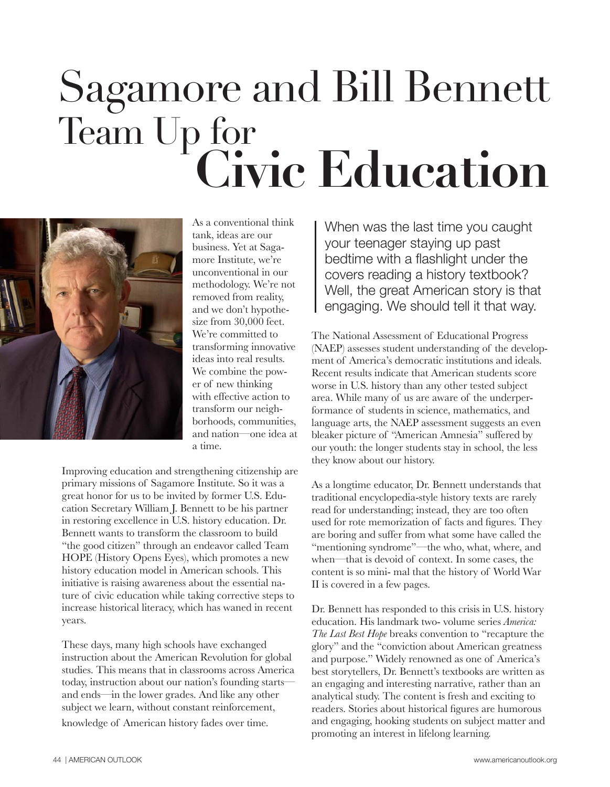## Sagamore and Bill Bennett Team Up for **Civic Education**



As a conventional think tank, ideas are our business. Yet at Sagamore Institute, we're unconventional in our methodology. We're not removed from reality, and we don't hypothesize from 30,000 feet. We're committed to transforming innovative ideas into real results. We combine the power of new thinking with effective action to transform our neighborhoods, communities, and nation—one idea at a time.

Improving education and strengthening citizenship are primary missions of Sagamore Institute. So it was a great honor for us to be invited by former U.S. Education Secretary William J. Bennett to be his partner in restoring excellence in U.S. history education. Dr. Bennett wants to transform the classroom to build "the good citizen" through an endeavor called Team HOPE (History Opens Eyes), which promotes a new history education model in American schools. This initiative is raising awareness about the essential nature of civic education while taking corrective steps to increase historical literacy, which has waned in recent years.

These days, many high schools have exchanged instruction about the American Revolution for global studies. This means that in classrooms across America today, instruction about our nation's founding starts and ends—in the lower grades. And like any other subject we learn, without constant reinforcement,

knowledge of American history fades over time.

When was the last time you caught your teenager staying up past bedtime with a flashlight under the covers reading a history textbook? Well, the great American story is that engaging. We should tell it that way.

The National Assessment of Educational Progress (NAEP) assesses student understanding of the development of America's democratic institutions and ideals. Recent results indicate that American students score worse in U.S. history than any other tested subject area. While many of us are aware of the underperformance of students in science, mathematics, and language arts, the NAEP assessment suggests an even bleaker picture of "American Amnesia" suffered by our youth: the longer students stay in school, the less they know about our history.

As a longtime educator, Dr. Bennett understands that traditional encyclopedia-style history texts are rarely read for understanding; instead, they are too often used for rote memorization of facts and figures. They are boring and suffer from what some have called the "mentioning syndrome"—the who, what, where, and when—that is devoid of context. In some cases, the content is so mini- mal that the history of World War II is covered in a few pages.

Dr. Bennett has responded to this crisis in U.S. history education. His landmark two- volume series *America: The Last Best Hope* breaks convention to "recapture the glory" and the "conviction about American greatness and purpose." Widely renowned as one of America's best storytellers, Dr. Bennett's textbooks are written as an engaging and interesting narrative, rather than an analytical study. The content is fresh and exciting to readers. Stories about historical figures are humorous and engaging, hooking students on subject matter and promoting an interest in lifelong learning.